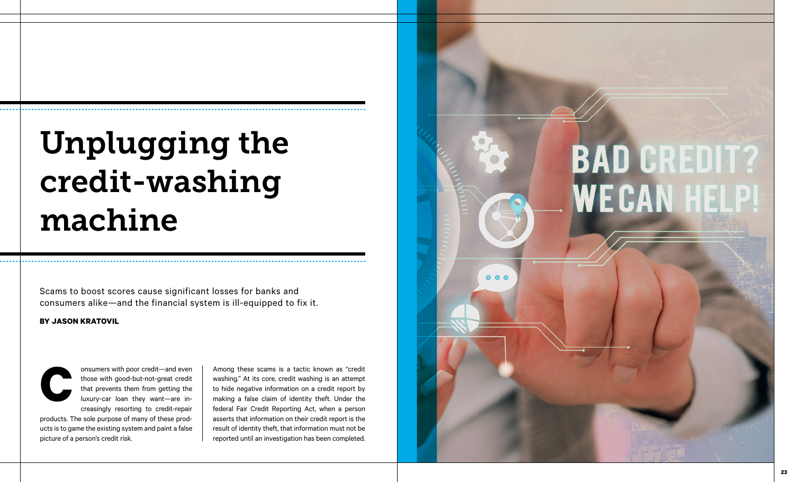## Unplugging the credit-washing machine

Scams to boost scores cause significant losses for banks and consumers alike—and the financial system is ill-equipped to fix it.

## **BY JASON KRATOVIL**



onsumers with poor credit—and even those with good-but-not-great credit that prevents them from getting the luxury-car loan they want—are in creasingly resorting to credit-repair

products. The sole purpose of many of these prod ucts is to game the existing system and paint a false onsumers with po<br>those with good-<br>that prevents the<br>luxury-car loan<br>creasingly resort<br>products. The sole purpose of i<br>ucts is to game the existing syst<br>picture of a person's credit risk.

Among these scams is a tactic known as "credit washing." At its core, credit washing is an attempt to hide negative information on a credit report by making a false claim of identity theft. Under the federal Fair Credit Reporting Act, when a person asserts that information on their credit report is the result of identity theft, that information must not be reported until an investigation has been completed.

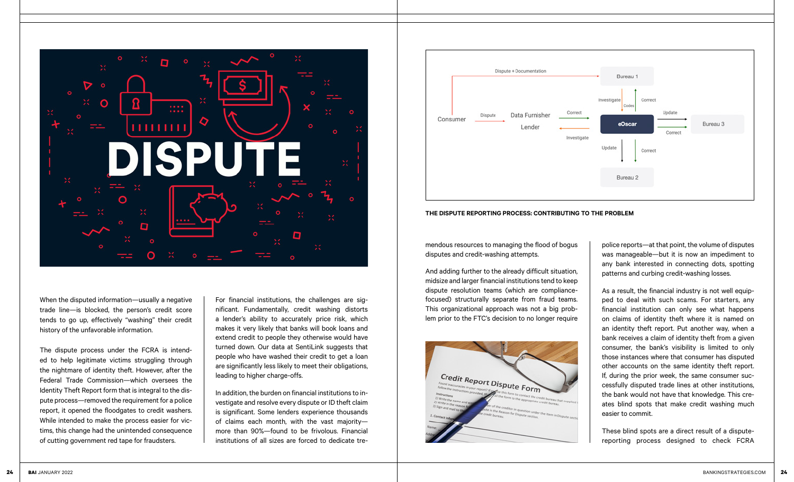

When the disputed information—usually a negative trade line—is blocked, the person's credit score tends to go up, effectively "washing" their credit history of the unfavorable information.

The dispute process under the FCRA is intended to help legitimate victims struggling through the nightmare of identity theft. However, after the Federal Trade Commission—which oversees the Identity Theft Report form that is integral to the dispute process—removed the requirement for a police report, it opened the floodgates to credit washers. While intended to make the process easier for victims, this change had the unintended consequence of cutting government red tape for fraudsters.

For financial institutions, the challenges are significant. Fundamentally, credit washing distorts a lender's ability to accurately price risk, which makes it very likely that banks will book loans and extend credit to people they otherwise would have turned down. Our data at SentiLink suggests that people who have washed their credit to get a loan are significantly less likely to meet their obligations, leading to higher charge-offs.

In addition, the burden on financial institutions to investigate and resolve every dispute or ID theft claim is significant. Some lenders experience thousands of claims each month, with the vast majority more than 90%—found to be frivolous. Financial institutions of all sizes are forced to dedicate tre-





mendous resources to managing the flood of bogus disputes and credit-washing attempts.

And adding further to the already difficult situation, midsize and larger financial institutions tend to keep dispute resolution teams (which are compliancefocused) structurally separate from fraud teams. This organizational approach was not a big problem prior to the FTC's decision to no longer require



police reports—at that point, the volume of disputes was manageable—but it is now an impediment to any bank interested in connecting dots, spotting patterns and curbing credit-washing losses.

As a result, the financial industry is not well equipped to deal with such scams. For starters, any financial institution can only see what happens on claims of identity theft where it is named on an identity theft report. Put another way, when a bank receives a claim of identity theft from a given consumer, the bank's visibility is limited to only those instances where that consumer has disputed other accounts on the same identity theft report. If, during the prior week, the same consumer successfully disputed trade lines at other institutions, the bank would not have that knowledge. This creates blind spots that make credit washing much easier to commit.

These blind spots are a direct result of a disputereporting process designed to check FCRA